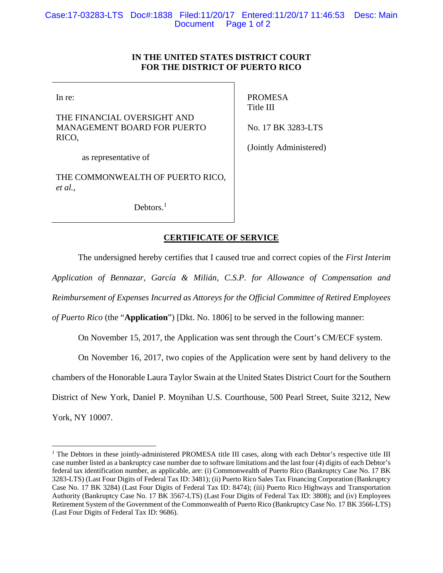## **IN THE UNITED STATES DISTRICT COURT FOR THE DISTRICT OF PUERTO RICO**

In re:

THE FINANCIAL OVERSIGHT AND MANAGEMENT BOARD FOR PUERTO RICO,

PROMESA Title III

No. 17 BK 3283-LTS

(Jointly Administered)

as representative of

THE COMMONWEALTH OF PUERTO RICO, *et al.*,

Debtors.<sup>1</sup>

# **CERTIFICATE OF SERVICE**

The undersigned hereby certifies that I caused true and correct copies of the *First Interim* 

*Application of Bennazar, García & Milián, C.S.P. for Allowance of Compensation and* 

*Reimbursement of Expenses Incurred as Attoreys for the Official Committee of Retired Employees* 

*of Puerto Rico* (the "**Application**") [Dkt. No. 1806] to be served in the following manner:

On November 15, 2017, the Application was sent through the Court's CM/ECF system.

On November 16, 2017, two copies of the Application were sent by hand delivery to the

chambers of the Honorable Laura Taylor Swain at the United States District Court for the Southern

District of New York, Daniel P. Moynihan U.S. Courthouse, 500 Pearl Street, Suite 3212, New

York, NY 10007.

 $\overline{a}$ 

<sup>&</sup>lt;sup>1</sup> The Debtors in these jointly-administered PROMESA title III cases, along with each Debtor's respective title III case number listed as a bankruptcy case number due to software limitations and the last four (4) digits of each Debtor's federal tax identification number, as applicable, are: (i) Commonwealth of Puerto Rico (Bankruptcy Case No. 17 BK 3283-LTS) (Last Four Digits of Federal Tax ID: 3481); (ii) Puerto Rico Sales Tax Financing Corporation (Bankruptcy Case No. 17 BK 3284) (Last Four Digits of Federal Tax ID: 8474); (iii) Puerto Rico Highways and Transportation Authority (Bankruptcy Case No. 17 BK 3567-LTS) (Last Four Digits of Federal Tax ID: 3808); and (iv) Employees Retirement System of the Government of the Commonwealth of Puerto Rico (Bankruptcy Case No. 17 BK 3566-LTS) (Last Four Digits of Federal Tax ID: 9686).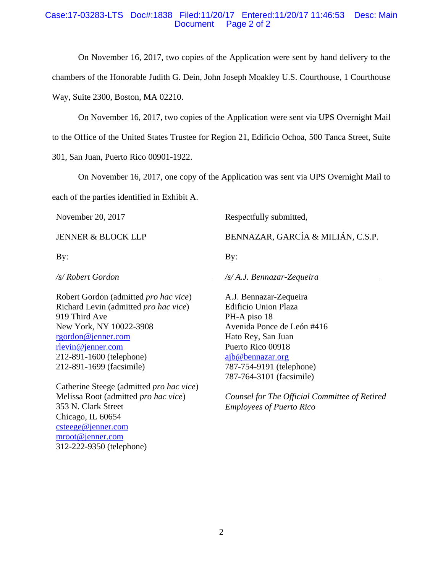#### Case:17-03283-LTS Doc#:1838 Filed:11/20/17 Entered:11/20/17 11:46:53 Desc: Main Document Page 2 of 2

 On November 16, 2017, two copies of the Application were sent by hand delivery to the chambers of the Honorable Judith G. Dein, John Joseph Moakley U.S. Courthouse, 1 Courthouse Way, Suite 2300, Boston, MA 02210.

 On November 16, 2017, two copies of the Application were sent via UPS Overnight Mail to the Office of the United States Trustee for Region 21, Edificio Ochoa, 500 Tanca Street, Suite 301, San Juan, Puerto Rico 00901-1922.

 On November 16, 2017, one copy of the Application was sent via UPS Overnight Mail to each of the parties identified in Exhibit A.

November 20, 2017

JENNER & BLOCK LLP

By:

*/s/ Robert Gordon* 

Robert Gordon (admitted *pro hac vice*) Richard Levin (admitted *pro hac vice*) 919 Third Ave New York, NY 10022-3908 rgordon@jenner.com rlevin@jenner.com 212-891-1600 (telephone) 212-891-1699 (facsimile)

Catherine Steege (admitted *pro hac vice*) Melissa Root (admitted *pro hac vice*) 353 N. Clark Street Chicago, IL 60654 csteege@jenner.com mroot@jenner.com 312-222-9350 (telephone)

Respectfully submitted,

BENNAZAR, GARCÍA & MILIÁN, C.S.P.

By:

*/s/ A.J. Bennazar-Zequeira* 

A.J. Bennazar-Zequeira Edificio Union Plaza PH-A piso 18 Avenida Ponce de León #416 Hato Rey, San Juan Puerto Rico 00918 ajb@bennazar.org 787-754-9191 (telephone) 787-764-3101 (facsimile)

*Counsel for The Official Committee of Retired Employees of Puerto Rico*